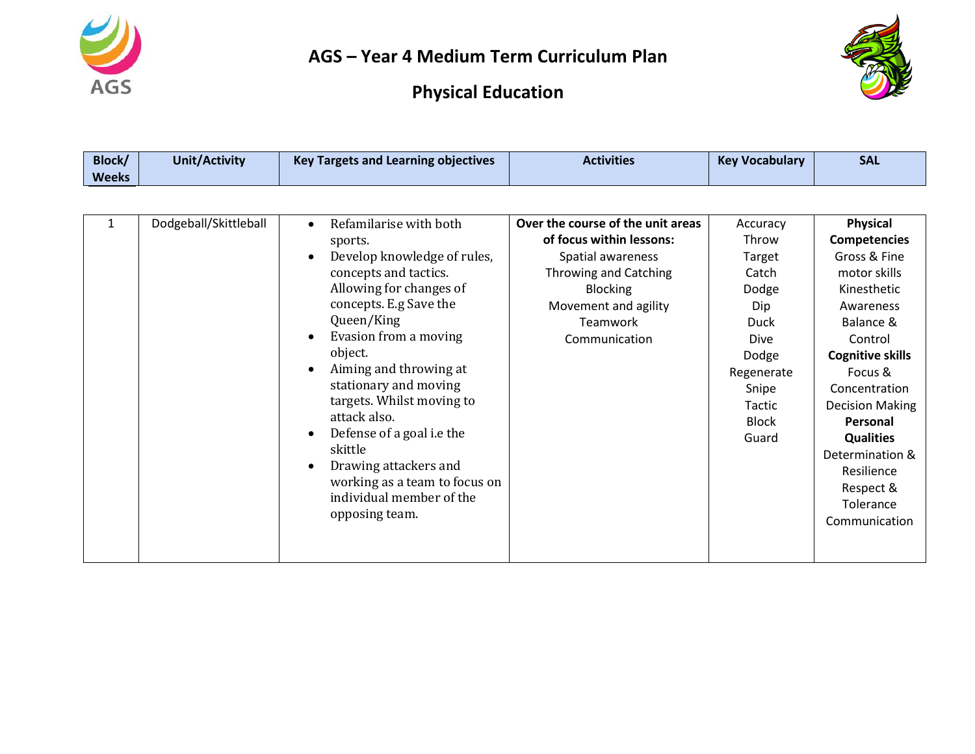



| Block/<br><b>Weeks</b> | <b>Unit/Activity</b>  | <b>Key Targets and Learning objectives</b>                                                                                                                                                                                                                                                                                                                                                                                                                                                   | <b>Activities</b>                                                                                                                                                                          | <b>Key Vocabulary</b>                                                                                                                          | <b>SAL</b>                                                                                                                                                                                                                                                                                                       |
|------------------------|-----------------------|----------------------------------------------------------------------------------------------------------------------------------------------------------------------------------------------------------------------------------------------------------------------------------------------------------------------------------------------------------------------------------------------------------------------------------------------------------------------------------------------|--------------------------------------------------------------------------------------------------------------------------------------------------------------------------------------------|------------------------------------------------------------------------------------------------------------------------------------------------|------------------------------------------------------------------------------------------------------------------------------------------------------------------------------------------------------------------------------------------------------------------------------------------------------------------|
|                        |                       |                                                                                                                                                                                                                                                                                                                                                                                                                                                                                              |                                                                                                                                                                                            |                                                                                                                                                |                                                                                                                                                                                                                                                                                                                  |
| 1                      | Dodgeball/Skittleball | Refamilarise with both<br>$\bullet$<br>sports.<br>Develop knowledge of rules,<br>$\bullet$<br>concepts and tactics.<br>Allowing for changes of<br>concepts. E.g Save the<br>Queen/King<br>Evasion from a moving<br>object.<br>Aiming and throwing at<br>٠<br>stationary and moving<br>targets. Whilst moving to<br>attack also.<br>Defense of a goal i.e the<br>$\bullet$<br>skittle<br>Drawing attackers and<br>working as a team to focus on<br>individual member of the<br>opposing team. | Over the course of the unit areas<br>of focus within lessons:<br>Spatial awareness<br>Throwing and Catching<br><b>Blocking</b><br>Movement and agility<br><b>Teamwork</b><br>Communication | Accuracy<br>Throw<br>Target<br>Catch<br>Dodge<br>Dip<br><b>Duck</b><br>Dive<br>Dodge<br>Regenerate<br>Snipe<br>Tactic<br><b>Block</b><br>Guard | Physical<br><b>Competencies</b><br>Gross & Fine<br>motor skills<br>Kinesthetic<br>Awareness<br>Balance &<br>Control<br><b>Cognitive skills</b><br>Focus &<br>Concentration<br><b>Decision Making</b><br>Personal<br><b>Qualities</b><br>Determination &<br>Resilience<br>Respect &<br>Tolerance<br>Communication |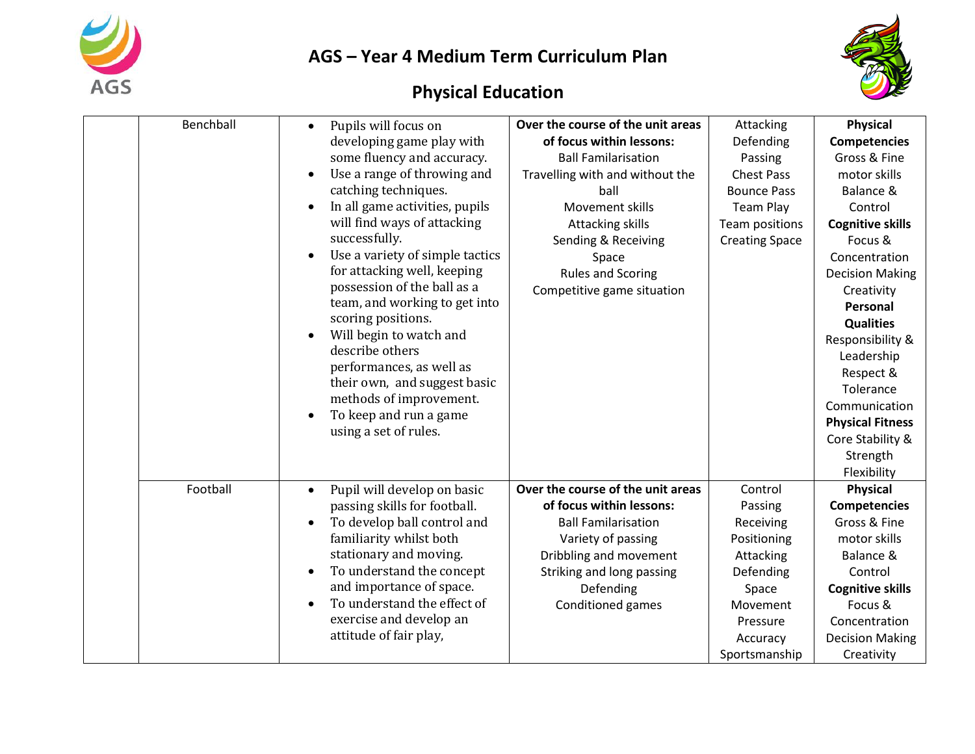



| Benchball | Pupils will focus on<br>$\bullet$                       | Over the course of the unit areas | Attacking             | <b>Physical</b>         |
|-----------|---------------------------------------------------------|-----------------------------------|-----------------------|-------------------------|
|           | developing game play with                               | of focus within lessons:          | Defending             | <b>Competencies</b>     |
|           | some fluency and accuracy.                              | <b>Ball Familarisation</b>        | Passing               | Gross & Fine            |
|           | Use a range of throwing and                             | Travelling with and without the   | <b>Chest Pass</b>     | motor skills            |
|           | catching techniques.                                    | ball                              | <b>Bounce Pass</b>    | Balance &               |
|           | In all game activities, pupils                          | Movement skills                   | <b>Team Play</b>      | Control                 |
|           | will find ways of attacking                             | Attacking skills                  | Team positions        | <b>Cognitive skills</b> |
|           | successfully.                                           | Sending & Receiving               | <b>Creating Space</b> | Focus &                 |
|           | Use a variety of simple tactics                         | Space                             |                       | Concentration           |
|           | for attacking well, keeping                             | <b>Rules and Scoring</b>          |                       | <b>Decision Making</b>  |
|           | possession of the ball as a                             | Competitive game situation        |                       | Creativity              |
|           | team, and working to get into                           |                                   |                       | Personal                |
|           | scoring positions.                                      |                                   |                       | <b>Qualities</b>        |
|           | Will begin to watch and                                 |                                   |                       | Responsibility &        |
|           | describe others                                         |                                   |                       | Leadership              |
|           | performances, as well as                                |                                   |                       | Respect &               |
|           | their own, and suggest basic<br>methods of improvement. |                                   |                       | Tolerance               |
|           | To keep and run a game                                  |                                   |                       | Communication           |
|           | using a set of rules.                                   |                                   |                       | <b>Physical Fitness</b> |
|           |                                                         |                                   |                       | Core Stability &        |
|           |                                                         |                                   |                       | Strength                |
|           |                                                         |                                   |                       | Flexibility             |
| Football  | Pupil will develop on basic<br>$\bullet$                | Over the course of the unit areas | Control               | <b>Physical</b>         |
|           | passing skills for football.                            | of focus within lessons:          | Passing               | <b>Competencies</b>     |
|           | To develop ball control and                             | <b>Ball Familarisation</b>        | Receiving             | Gross & Fine            |
|           | familiarity whilst both                                 | Variety of passing                | Positioning           | motor skills            |
|           | stationary and moving.                                  | Dribbling and movement            | Attacking             | Balance &               |
|           | To understand the concept                               | Striking and long passing         | Defending             | Control                 |
|           | and importance of space.                                | Defending                         | Space                 | <b>Cognitive skills</b> |
|           | To understand the effect of<br>$\bullet$                | Conditioned games                 | Movement              | Focus &                 |
|           | exercise and develop an                                 |                                   | Pressure              | Concentration           |
|           | attitude of fair play,                                  |                                   | Accuracy              | <b>Decision Making</b>  |
|           |                                                         |                                   | Sportsmanship         | Creativity              |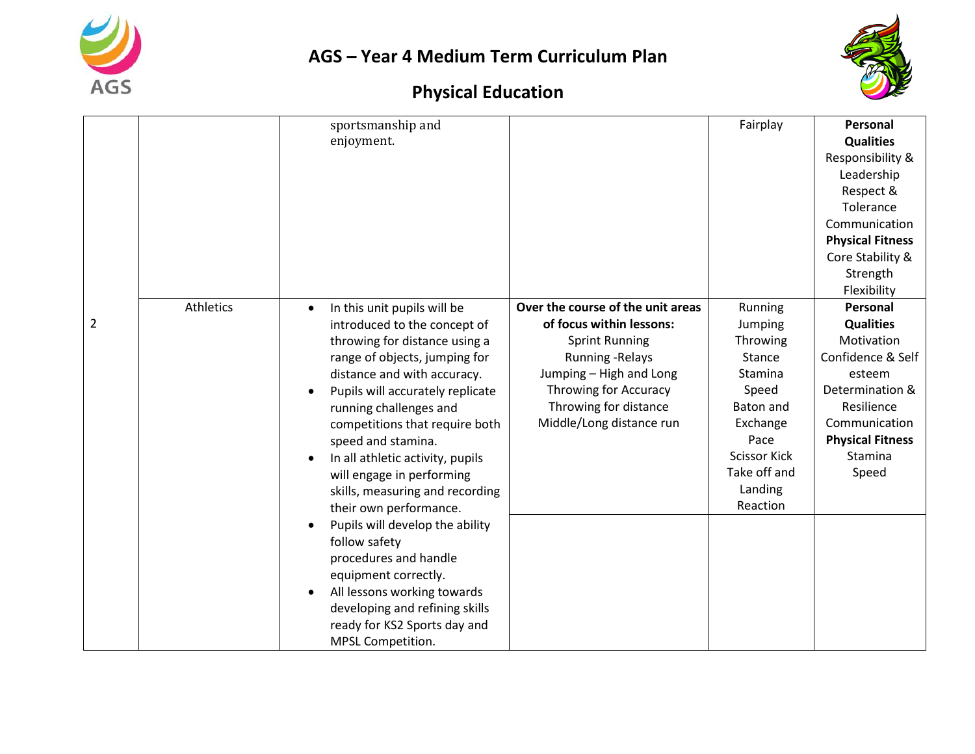



|                |           | sportsmanship and                        |                                   | Fairplay            | Personal                |
|----------------|-----------|------------------------------------------|-----------------------------------|---------------------|-------------------------|
|                |           | enjoyment.                               |                                   |                     | <b>Qualities</b>        |
|                |           |                                          |                                   |                     | Responsibility &        |
|                |           |                                          |                                   |                     | Leadership              |
|                |           |                                          |                                   |                     | Respect &               |
|                |           |                                          |                                   |                     | Tolerance               |
|                |           |                                          |                                   |                     | Communication           |
|                |           |                                          |                                   |                     | <b>Physical Fitness</b> |
|                |           |                                          |                                   |                     | Core Stability &        |
|                |           |                                          |                                   |                     | Strength                |
|                |           |                                          |                                   |                     | Flexibility             |
|                | Athletics | In this unit pupils will be<br>$\bullet$ | Over the course of the unit areas | Running             | Personal                |
| $\overline{2}$ |           | introduced to the concept of             | of focus within lessons:          | Jumping             | <b>Qualities</b>        |
|                |           | throwing for distance using a            | <b>Sprint Running</b>             | Throwing            | Motivation              |
|                |           | range of objects, jumping for            | <b>Running - Relays</b>           | Stance              | Confidence & Self       |
|                |           | distance and with accuracy.              | Jumping - High and Long           | Stamina             | esteem                  |
|                |           | Pupils will accurately replicate         | Throwing for Accuracy             | Speed               | Determination &         |
|                |           | running challenges and                   | Throwing for distance             | Baton and           | Resilience              |
|                |           | competitions that require both           | Middle/Long distance run          | Exchange            | Communication           |
|                |           | speed and stamina.                       |                                   | Pace                | <b>Physical Fitness</b> |
|                |           | In all athletic activity, pupils         |                                   | <b>Scissor Kick</b> | Stamina                 |
|                |           | will engage in performing                |                                   | Take off and        | Speed                   |
|                |           | skills, measuring and recording          |                                   | Landing             |                         |
|                |           | their own performance.                   |                                   | Reaction            |                         |
|                |           | Pupils will develop the ability          |                                   |                     |                         |
|                |           | follow safety                            |                                   |                     |                         |
|                |           | procedures and handle                    |                                   |                     |                         |
|                |           | equipment correctly.                     |                                   |                     |                         |
|                |           | All lessons working towards              |                                   |                     |                         |
|                |           | developing and refining skills           |                                   |                     |                         |
|                |           | ready for KS2 Sports day and             |                                   |                     |                         |
|                |           | MPSL Competition.                        |                                   |                     |                         |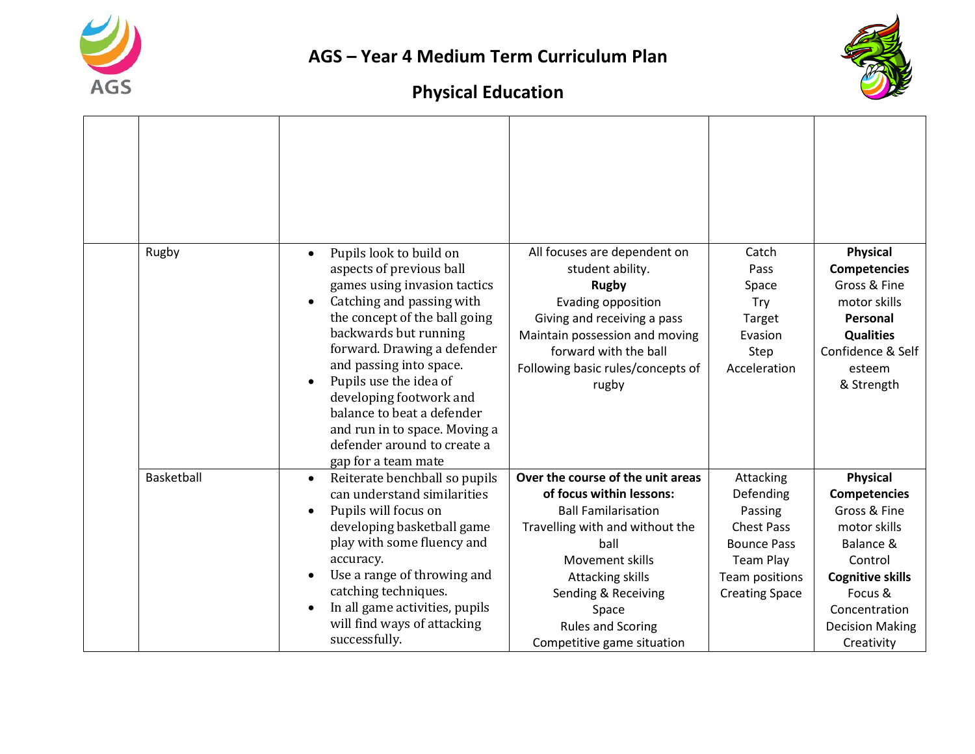



| Rugby      | Pupils look to build on<br>$\bullet$<br>aspects of previous ball<br>games using invasion tactics<br>Catching and passing with<br>the concept of the ball going<br>backwards but running<br>forward. Drawing a defender<br>and passing into space.<br>Pupils use the idea of                                         | All focuses are dependent on<br>student ability.<br><b>Rugby</b><br>Evading opposition<br>Giving and receiving a pass<br>Maintain possession and moving<br>forward with the ball<br>Following basic rules/concepts of<br>rugby                                          | Catch<br>Pass<br>Space<br><b>Try</b><br>Target<br>Evasion<br>Step<br>Acceleration                                                           | <b>Physical</b><br><b>Competencies</b><br>Gross & Fine<br>motor skills<br>Personal<br><b>Qualities</b><br>Confidence & Self<br>esteem<br>& Strength                                           |
|------------|---------------------------------------------------------------------------------------------------------------------------------------------------------------------------------------------------------------------------------------------------------------------------------------------------------------------|-------------------------------------------------------------------------------------------------------------------------------------------------------------------------------------------------------------------------------------------------------------------------|---------------------------------------------------------------------------------------------------------------------------------------------|-----------------------------------------------------------------------------------------------------------------------------------------------------------------------------------------------|
|            | developing footwork and<br>balance to beat a defender<br>and run in to space. Moving a<br>defender around to create a<br>gap for a team mate                                                                                                                                                                        |                                                                                                                                                                                                                                                                         |                                                                                                                                             |                                                                                                                                                                                               |
| Basketball | Reiterate benchball so pupils<br>$\bullet$<br>can understand similarities<br>Pupils will focus on<br>developing basketball game<br>play with some fluency and<br>accuracy.<br>Use a range of throwing and<br>catching techniques.<br>In all game activities, pupils<br>will find ways of attacking<br>successfully. | Over the course of the unit areas<br>of focus within lessons:<br><b>Ball Familarisation</b><br>Travelling with and without the<br>ball<br>Movement skills<br>Attacking skills<br>Sending & Receiving<br>Space<br><b>Rules and Scoring</b><br>Competitive game situation | Attacking<br>Defending<br>Passing<br><b>Chest Pass</b><br><b>Bounce Pass</b><br><b>Team Play</b><br>Team positions<br><b>Creating Space</b> | <b>Physical</b><br><b>Competencies</b><br>Gross & Fine<br>motor skills<br>Balance &<br>Control<br><b>Cognitive skills</b><br>Focus &<br>Concentration<br><b>Decision Making</b><br>Creativity |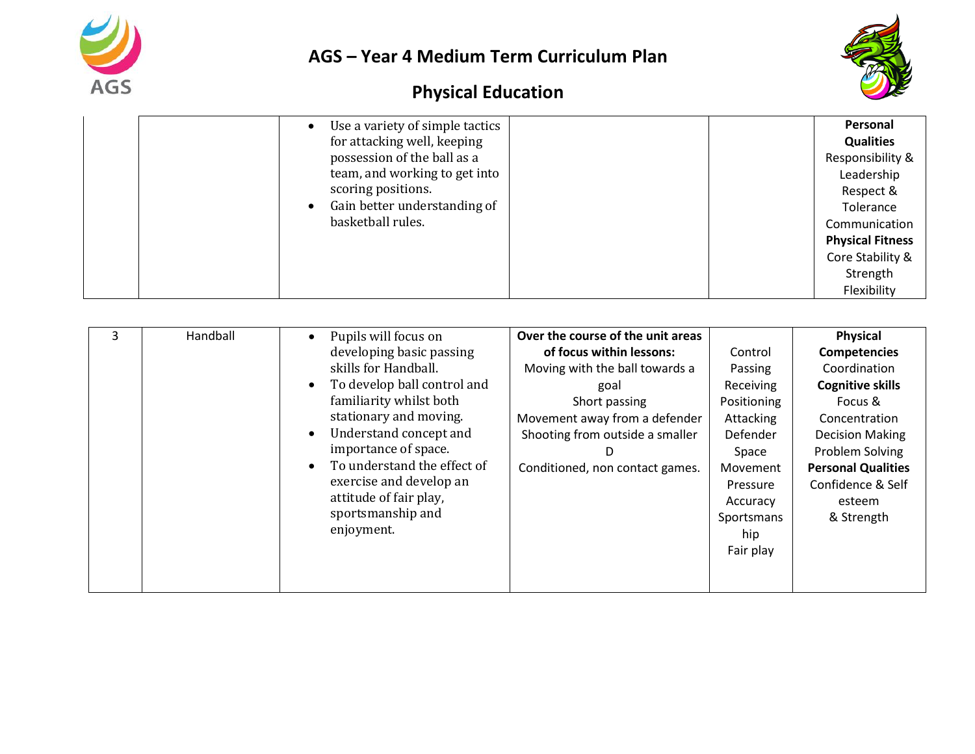



| Use a variety of simple tactics<br>for attacking well, keeping<br>possession of the ball as a<br>team, and working to get into | Personal<br><b>Qualities</b><br>Responsibility &<br>Leadership     |
|--------------------------------------------------------------------------------------------------------------------------------|--------------------------------------------------------------------|
| scoring positions.<br>Gain better understanding of<br>basketball rules.                                                        | Respect &<br>Tolerance<br>Communication<br><b>Physical Fitness</b> |
|                                                                                                                                | Core Stability &<br>Strength<br>Flexibility                        |

|  | Handball | Pupils will focus on<br>developing basic passing<br>skills for Handball.<br>To develop ball control and<br>familiarity whilst both<br>stationary and moving.<br>Understand concept and<br>importance of space.<br>To understand the effect of<br>exercise and develop an<br>attitude of fair play,<br>sportsmanship and<br>enjoyment. | Over the course of the unit areas<br>of focus within lessons:<br>Moving with the ball towards a<br>goal<br>Short passing<br>Movement away from a defender<br>Shooting from outside a smaller<br>D<br>Conditioned, non contact games. | Control<br>Passing<br>Receiving<br>Positioning<br>Attacking<br>Defender<br>Space<br>Movement<br>Pressure<br>Accuracy<br>Sportsmans<br>hip<br>Fair play | <b>Physical</b><br><b>Competencies</b><br>Coordination<br><b>Cognitive skills</b><br>Focus &<br>Concentration<br><b>Decision Making</b><br>Problem Solving<br><b>Personal Qualities</b><br>Confidence & Self<br>esteem<br>& Strength |
|--|----------|---------------------------------------------------------------------------------------------------------------------------------------------------------------------------------------------------------------------------------------------------------------------------------------------------------------------------------------|--------------------------------------------------------------------------------------------------------------------------------------------------------------------------------------------------------------------------------------|--------------------------------------------------------------------------------------------------------------------------------------------------------|--------------------------------------------------------------------------------------------------------------------------------------------------------------------------------------------------------------------------------------|
|--|----------|---------------------------------------------------------------------------------------------------------------------------------------------------------------------------------------------------------------------------------------------------------------------------------------------------------------------------------------|--------------------------------------------------------------------------------------------------------------------------------------------------------------------------------------------------------------------------------------|--------------------------------------------------------------------------------------------------------------------------------------------------------|--------------------------------------------------------------------------------------------------------------------------------------------------------------------------------------------------------------------------------------|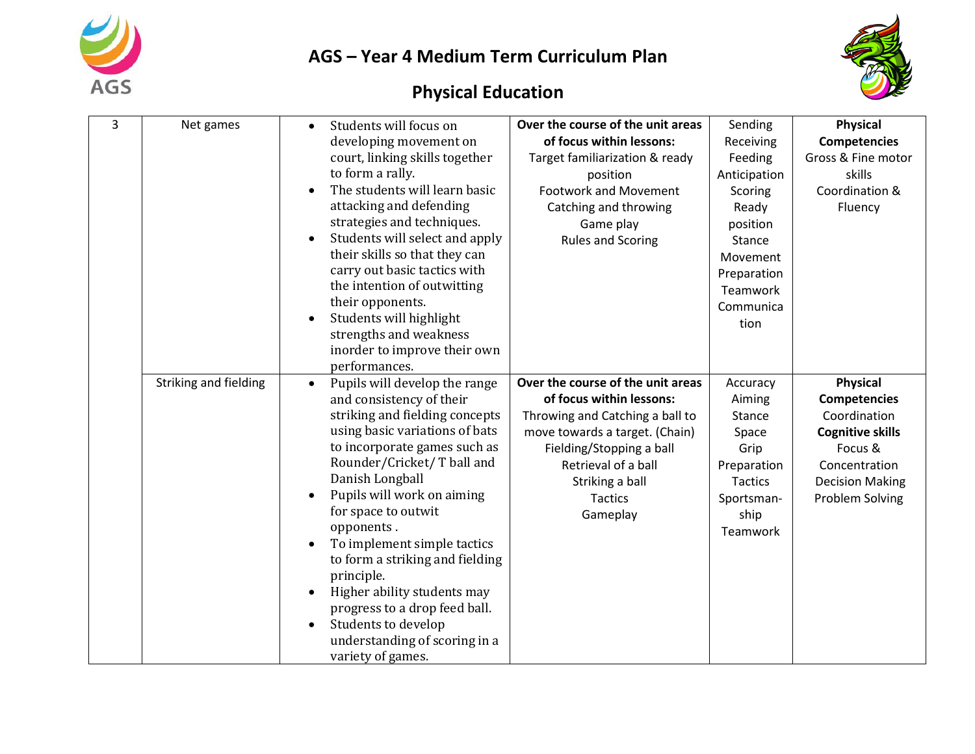



| 3 | Net games             | Students will focus on<br>$\bullet$<br>developing movement on<br>court, linking skills together<br>to form a rally.<br>The students will learn basic<br>attacking and defending<br>strategies and techniques.<br>Students will select and apply<br>their skills so that they can<br>carry out basic tactics with<br>the intention of outwitting<br>their opponents.<br>Students will highlight<br>strengths and weakness<br>inorder to improve their own<br>performances.                                                                 | Over the course of the unit areas<br>of focus within lessons:<br>Target familiarization & ready<br>position<br><b>Footwork and Movement</b><br>Catching and throwing<br>Game play<br><b>Rules and Scoring</b>                          | Sending<br>Receiving<br>Feeding<br>Anticipation<br>Scoring<br>Ready<br>position<br>Stance<br>Movement<br>Preparation<br>Teamwork<br>Communica<br>tion | <b>Physical</b><br><b>Competencies</b><br>Gross & Fine motor<br>skills<br>Coordination &<br>Fluency                                                        |
|---|-----------------------|-------------------------------------------------------------------------------------------------------------------------------------------------------------------------------------------------------------------------------------------------------------------------------------------------------------------------------------------------------------------------------------------------------------------------------------------------------------------------------------------------------------------------------------------|----------------------------------------------------------------------------------------------------------------------------------------------------------------------------------------------------------------------------------------|-------------------------------------------------------------------------------------------------------------------------------------------------------|------------------------------------------------------------------------------------------------------------------------------------------------------------|
|   | Striking and fielding | Pupils will develop the range<br>$\bullet$<br>and consistency of their<br>striking and fielding concepts<br>using basic variations of bats<br>to incorporate games such as<br>Rounder/Cricket/ T ball and<br>Danish Longball<br>Pupils will work on aiming<br>for space to outwit<br>opponents.<br>To implement simple tactics<br>to form a striking and fielding<br>principle.<br>Higher ability students may<br>progress to a drop feed ball.<br>Students to develop<br>$\bullet$<br>understanding of scoring in a<br>variety of games. | Over the course of the unit areas<br>of focus within lessons:<br>Throwing and Catching a ball to<br>move towards a target. (Chain)<br>Fielding/Stopping a ball<br>Retrieval of a ball<br>Striking a ball<br><b>Tactics</b><br>Gameplay | Accuracy<br>Aiming<br><b>Stance</b><br>Space<br>Grip<br>Preparation<br><b>Tactics</b><br>Sportsman-<br>ship<br>Teamwork                               | <b>Physical</b><br><b>Competencies</b><br>Coordination<br><b>Cognitive skills</b><br>Focus &<br>Concentration<br><b>Decision Making</b><br>Problem Solving |